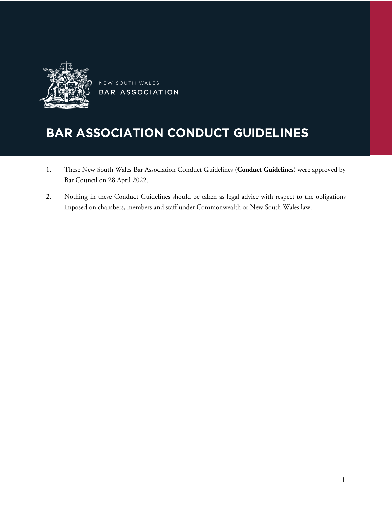

NEW SOUTH WALES BAR ASSOCIATION

# BAR ASSOCIATION CONDUCT GUIDELINES

- 1. These New South Wales Bar Association Conduct Guidelines (**Conduct Guidelines**) were approved by Bar Council on 28 April 2022.
- 2. Nothing in these Conduct Guidelines should be taken as legal advice with respect to the obligations imposed on chambers, members and staff under Commonwealth or New South Wales law.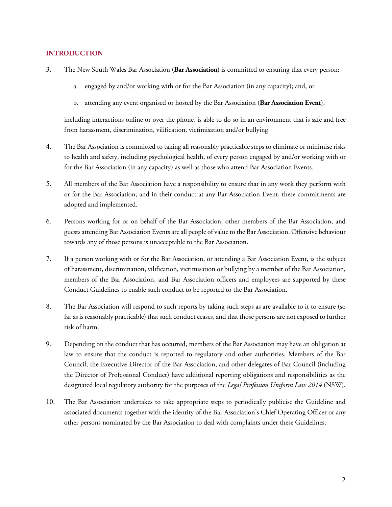## **INTRODUCTION**

- 3. The New South Wales Bar Association (**Bar Association**) is committed to ensuring that every person:
	- a. engaged by and/or working with or for the Bar Association (in any capacity); and, or
	- b. attending any event organised or hosted by the Bar Association (**Bar Association Event**),

including interactions online or over the phone, is able to do so in an environment that is safe and free from harassment, discrimination, vilification, victimisation and/or bullying.

- 4. The Bar Association is committed to taking all reasonably practicable steps to eliminate or minimise risks to health and safety, including psychological health, of every person engaged by and/or working with or for the Bar Association (in any capacity) as well as those who attend Bar Association Events.
- 5. All members of the Bar Association have a responsibility to ensure that in any work they perform with or for the Bar Association, and in their conduct at any Bar Association Event, these commitments are adopted and implemented.
- 6. Persons working for or on behalf of the Bar Association, other members of the Bar Association, and guests attending Bar Association Events are all people of value to the Bar Association. Offensive behaviour towards any of those persons is unacceptable to the Bar Association.
- 7. If a person working with or for the Bar Association, or attending a Bar Association Event, is the subject of harassment, discrimination, vilification, victimisation or bullying by a member of the Bar Association, members of the Bar Association, and Bar Association officers and employees are supported by these Conduct Guidelines to enable such conduct to be reported to the Bar Association.
- 8. The Bar Association will respond to such reports by taking such steps as are available to it to ensure (so far as is reasonably practicable) that such conduct ceases, and that those persons are not exposed to further risk of harm.
- 9. Depending on the conduct that has occurred, members of the Bar Association may have an obligation at law to ensure that the conduct is reported to regulatory and other authorities. Members of the Bar Council, the Executive Director of the Bar Association, and other delegates of Bar Council (including the Director of Professional Conduct) have additional reporting obligations and responsibilities as the designated local regulatory authority for the purposes of the *Legal Profession Uniform Law 2014* (NSW).
- 10. The Bar Association undertakes to take appropriate steps to periodically publicise the Guideline and associated documents together with the identity of the Bar Association's Chief Operating Officer or any other persons nominated by the Bar Association to deal with complaints under these Guidelines.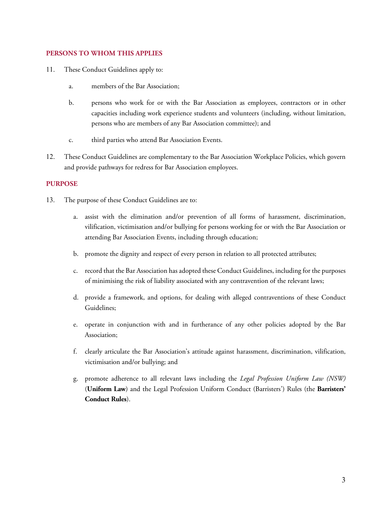## **PERSONS TO WHOM THIS APPLIES**

- 11. These Conduct Guidelines apply to:
	- a. members of the Bar Association;
	- b. persons who work for or with the Bar Association as employees, contractors or in other capacities including work experience students and volunteers (including, without limitation, persons who are members of any Bar Association committee); and
	- c. third parties who attend Bar Association Events.
- 12. These Conduct Guidelines are complementary to the Bar Association Workplace Policies, which govern and provide pathways for redress for Bar Association employees.

#### **PURPOSE**

- 13. The purpose of these Conduct Guidelines are to:
	- a. assist with the elimination and/or prevention of all forms of harassment, discrimination, vilification, victimisation and/or bullying for persons working for or with the Bar Association or attending Bar Association Events, including through education;
	- b. promote the dignity and respect of every person in relation to all protected attributes;
	- c. record that the Bar Association has adopted these Conduct Guidelines, including for the purposes of minimising the risk of liability associated with any contravention of the relevant laws;
	- d. provide a framework, and options, for dealing with alleged contraventions of these Conduct Guidelines;
	- e. operate in conjunction with and in furtherance of any other policies adopted by the Bar Association;
	- f. clearly articulate the Bar Association's attitude against harassment, discrimination, vilification, victimisation and/or bullying; and
	- g. promote adherence to all relevant laws including the *Legal Profession Uniform Law (NSW)*  (**Uniform Law**) and the Legal Profession Uniform Conduct (Barristers') Rules (the **Barristers' Conduct Rules**).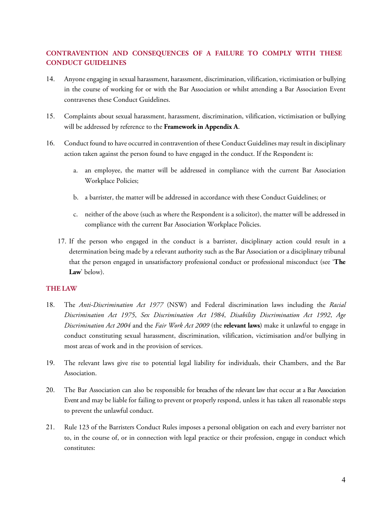# **CONTRAVENTION AND CONSEQUENCES OF A FAILURE TO COMPLY WITH THESE CONDUCT GUIDELINES**

- 14. Anyone engaging in sexual harassment, harassment, discrimination, vilification, victimisation or bullying in the course of working for or with the Bar Association or whilst attending a Bar Association Event contravenes these Conduct Guidelines.
- 15. Complaints about sexual harassment, harassment, discrimination, vilification, victimisation or bullying will be addressed by reference to the **Framework in Appendix A**.
- 16. Conduct found to have occurred in contravention of these Conduct Guidelines may result in disciplinary action taken against the person found to have engaged in the conduct. If the Respondent is:
	- a. an employee, the matter will be addressed in compliance with the current Bar Association Workplace Policies;
	- b. a barrister, the matter will be addressed in accordance with these Conduct Guidelines; or
	- c. neither of the above (such as where the Respondent is a solicitor), the matter will be addressed in compliance with the current Bar Association Workplace Policies.
	- 17. If the person who engaged in the conduct is a barrister, disciplinary action could result in a determination being made by a relevant authority such as the Bar Association or a disciplinary tribunal that the person engaged in unsatisfactory professional conduct or professional misconduct (see '**The Law**' below).

## **THE LAW**

- 18. The *Anti-Discrimination Act 1977* (NSW) and Federal discrimination laws including the *Racial Discrimination Act 1975*, *Sex Discrimination Act 1984*, *Disability Discrimination Act 1992*, *Age Discrimination Act 2004* and the *Fair Work Act 2009* (the **relevant laws**) make it unlawful to engage in conduct constituting sexual harassment, discrimination, vilification, victimisation and/or bullying in most areas of work and in the provision of services.
- 19. The relevant laws give rise to potential legal liability for individuals, their Chambers, and the Bar Association.
- 20. The Bar Association can also be responsible for breaches of the relevant law that occur at a Bar Association Event and may be liable for failing to prevent or properly respond, unless it has taken all reasonable steps to prevent the unlawful conduct.
- 21. Rule 123 of the Barristers Conduct Rules imposes a personal obligation on each and every barrister not to, in the course of, or in connection with legal practice or their profession, engage in conduct which constitutes: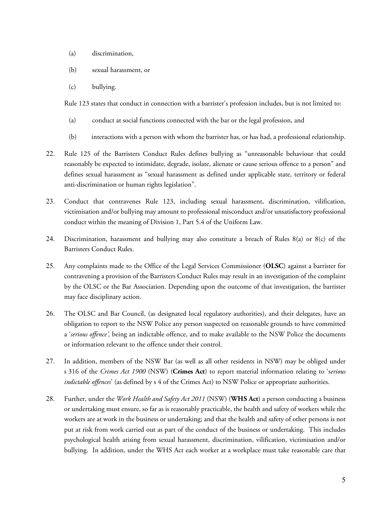- (a) discrimination,
- (b) sexual harassment, or
- (c) bullying.

Rule 123 states that conduct in connection with a barrister's profession includes, but is not limited to:

- (a) conduct at social functions connected with the bar or the legal profession, and
- (b) interactions with a person with whom the barrister has, or has had, a professional relationship.
- 22. Rule 125 of the Barristers Conduct Rules defines bullying as "unreasonable behaviour that could reasonably be expected to intimidate, degrade, isolate, alienate or cause serious offence to a person" and defines sexual harassment as "sexual harassment as defined under applicable state, territory or federal anti-discrimination or human rights legislation".
- 23. Conduct that contravenes Rule 123, including sexual harassment, discrimination, vilification, victimisation and/or bullying may amount to professional misconduct and/or unsatisfactory professional conduct within the meaning of Division 1, Part 5.4 of the Uniform Law.
- 24. Discrimination, harassment and bullying may also constitute a breach of Rules 8(a) or 8(c) of the Barristers Conduct Rules.
- 25. Any complaints made to the Office of the Legal Services Commissioner (**OLSC**) against a barrister for contravening a provision of the Barristers Conduct Rules may result in an investigation of the complaint by the OLSC or the Bar Association. Depending upon the outcome of that investigation, the barrister may face disciplinary action.
- 26. The OLSC and Bar Council, (as designated local regulatory authorities), and their delegates, have an obligation to report to the NSW Police any person suspected on reasonable grounds to have committed a '*serious offence',* being an indictable offence, and to make available to the NSW Police the documents or information relevant to the offence under their control.
- 27. In addition, members of the NSW Bar (as well as all other residents in NSW) may be obliged under s 316 of the *Crimes Act 1900* (NSW) (**Crimes Act**) to report material information relating to 's*erious indictable offences*' (as defined by s 4 of the Crimes Act) to NSW Police or appropriate authorities.
- 28. Further, under the *Work Health and Safety Act 2011* (NSW) (**WHS Act**) a person conducting a business or undertaking must ensure, so far as is reasonably practicable, the health and safety of workers while the workers are at work in the business or undertaking; and that the health and safety of other persons is not put at risk from work carried out as part of the conduct of the business or undertaking. This includes psychological health arising from sexual harassment, discrimination, vilification, victimisation and/or bullying. In addition, under the WHS Act each worker at a workplace must take reasonable care that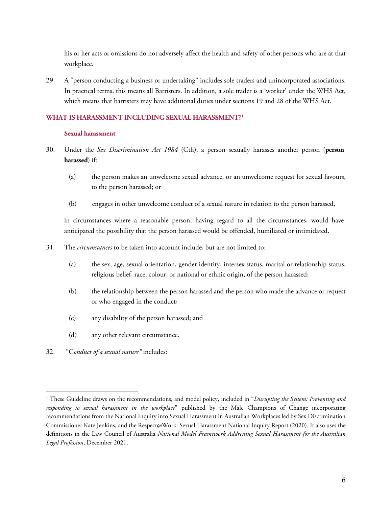his or her acts or omissions do not adversely affect the health and safety of other persons who are at that workplace.

29. A "person conducting a business or undertaking" includes sole traders and unincorporated associations. In practical terms, this means all Barristers. In addition, a sole trader is a 'worker' under the WHS Act, which means that barristers may have additional duties under sections 19 and 28 of the WHS Act.

## **WHAT IS HARASSMENT INCLUDING SEXUAL HARASSMENT? [1](#page-5-0)**

## **Sexual harassment**

- 30. Under the *Sex Discrimination Act 1984* (Cth), a person sexually harasses another person (**person harassed**) if:
	- (a) the person makes an unwelcome sexual advance, or an unwelcome request for sexual favours, to the person harassed; or
	- (b) engages in other unwelcome conduct of a sexual nature in relation to the person harassed,

in circumstances where a reasonable person, having regard to all the circumstances, would have anticipated the possibility that the person harassed would be offended, humiliated or intimidated.

- 31. The *circumstances* to be taken into account include, but are not limited to:
	- (a) the sex, age, sexual orientation, gender identity, intersex status, marital or relationship status, religious belief, race, colour, or national or ethnic origin, of the person harassed;
	- (b) the relationship between the person harassed and the person who made the advance or request or who engaged in the conduct;
	- (c) any disability of the person harassed; and
	- (d) any other relevant circumstance.
- 32. "C*onduct of a sexual nature"* includes:

 $\overline{a}$ 

<span id="page-5-0"></span><sup>&</sup>lt;sup>1</sup> These Guideline draws on the recommendations, and model policy, included in "Disrupting the System: Preventing and *responding to sexual harassment in the workplace*" published by the Male Champions of Change incorporating recommendations from the National Inquiry into Sexual Harassment in Australian Workplaces led by Sex Discrimination Commissioner Kate Jenkins, and the Respect@Work: Sexual Harassment National Inquiry Report (2020). It also uses the definitions in the Law Council of Australia *National Model Framework Addressing Sexual Harassment for the Australian Legal Profession*, December 2021.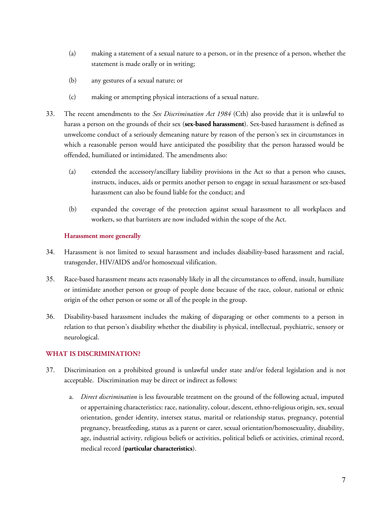- (a) making a statement of a sexual nature to a person, or in the presence of a person, whether the statement is made orally or in writing;
- (b) any gestures of a sexual nature; or
- (c) making or attempting physical interactions of a sexual nature.
- 33. The recent amendments to the *Sex Discrimination Act 1984* (Cth) also provide that it is unlawful to harass a person on the grounds of their sex (**sex-based harassment**). Sex-based harassment is defined as unwelcome conduct of a seriously demeaning nature by reason of the person's sex in circumstances in which a reasonable person would have anticipated the possibility that the person harassed would be offended, humiliated or intimidated. The amendments also:
	- (a) extended the accessory/ancillary liability provisions in the Act so that a person who causes, instructs, induces, aids or permits another person to engage in sexual harassment or sex-based harassment can also be found liable for the conduct; and
	- (b) expanded the coverage of the protection against sexual harassment to all workplaces and workers, so that barristers are now included within the scope of the Act.

## **Harassment more generally**

- 34. Harassment is not limited to sexual harassment and includes disability-based harassment and racial, transgender, HIV/AIDS and/or homosexual vilification.
- 35. Race-based harassment means acts reasonably likely in all the circumstances to offend, insult, humiliate or intimidate another person or group of people done because of the race, colour, national or ethnic origin of the other person or some or all of the people in the group.
- 36. Disability-based harassment includes the making of disparaging or other comments to a person in relation to that person's disability whether the disability is physical, intellectual, psychiatric, sensory or neurological.

## **WHAT IS DISCRIMINATION?**

- 37. Discrimination on a prohibited ground is unlawful under state and/or federal legislation and is not acceptable. Discrimination may be direct or indirect as follows:
	- a. *Direct discrimination* is less favourable treatment on the ground of the following actual, imputed or appertaining characteristics: race, nationality, colour, descent, ethno-religious origin, sex, sexual orientation, gender identity, intersex status, marital or relationship status, pregnancy, potential pregnancy, breastfeeding, status as a parent or carer, sexual orientation/homosexuality, disability, age, industrial activity, religious beliefs or activities, political beliefs or activities, criminal record, medical record (**particular characteristics**).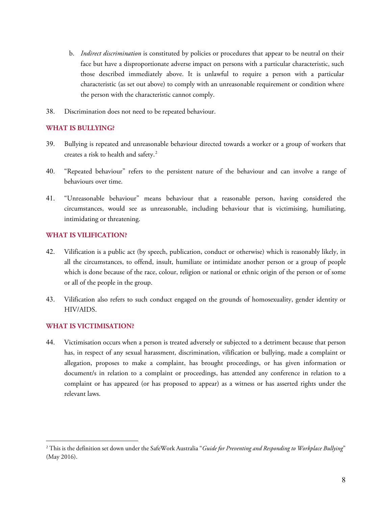- b. *Indirect discrimination* is constituted by policies or procedures that appear to be neutral on their face but have a disproportionate adverse impact on persons with a particular characteristic, such those described immediately above. It is unlawful to require a person with a particular characteristic (as set out above) to comply with an unreasonable requirement or condition where the person with the characteristic cannot comply.
- 38. Discrimination does not need to be repeated behaviour.

## **WHAT IS BULLYING?**

- 39. Bullying is repeated and unreasonable behaviour directed towards a worker or a group of workers that creates a risk to health and safety.<sup>[2](#page-7-0)</sup>
- 40. "Repeated behaviour" refers to the persistent nature of the behaviour and can involve a range of behaviours over time.
- 41. "Unreasonable behaviour" means behaviour that a reasonable person, having considered the circumstances, would see as unreasonable, including behaviour that is victimising, humiliating, intimidating or threatening.

## **WHAT IS VILIFICATION?**

- 42. Vilification is a public act (by speech, publication, conduct or otherwise) which is reasonably likely, in all the circumstances, to offend, insult, humiliate or intimidate another [person](http://www.austlii.edu.au/cgi-bin/viewdoc/au/legis/cth/consol_act/rda1975202/s5.html#person) or a group of people which is done because of the race, colour, religion or national or ethnic origin of the [person](http://www.austlii.edu.au/cgi-bin/viewdoc/au/legis/cth/consol_act/rda1975202/s5.html#person) or of some or all of the people in the group.
- 43. Vilification also refers to such conduct engaged on the grounds of homosexuality, gender identity or HIV/AIDS.

## **WHAT IS VICTIMISATION?**

 $\overline{a}$ 

44. Victimisation occurs when a person is treated adversely or subjected to a detriment because that person has, in respect of any sexual harassment, discrimination, vilification or bullying, made a complaint or allegation, proposes to make a complaint, has brought proceedings, or has given information or document/s in relation to a complaint or proceedings, has attended any conference in relation to a complaint or has appeared (or has proposed to appear) as a witness or has asserted rights under the relevant laws.

<span id="page-7-0"></span><sup>2</sup> This is the definition set down under the SafeWork Australia "*Guide for Preventing and Responding to Workplace Bullying*" (May 2016).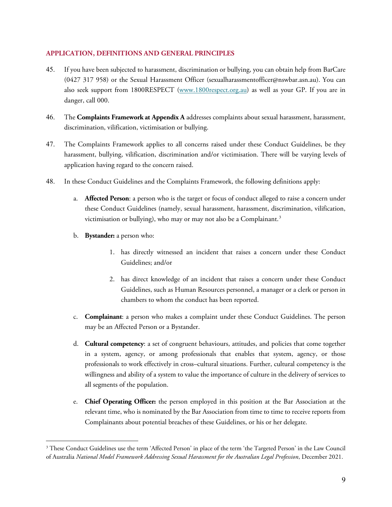## **APPLICATION, DEFINITIONS AND GENERAL PRINCIPLES**

- 45. If you have been subjected to harassment, discrimination or bullying, you can obtain help from BarCare (0427 317 958) or the Sexual Harassment Officer (sexualharassmentofficer@nswbar.asn.au). You can also seek support from 1800RESPECT [\(www.1800respect.org.au\)](http://www.1800respect.org.au/) as well as your GP. If you are in danger, call 000.
- 46. The **Complaints Framework at Appendix A** addresses complaints about sexual harassment, harassment, discrimination, vilification, victimisation or bullying.
- 47. The Complaints Framework applies to all concerns raised under these Conduct Guidelines, be they harassment, bullying, vilification, discrimination and/or victimisation. There will be varying levels of application having regard to the concern raised.
- 48. In these Conduct Guidelines and the Complaints Framework, the following definitions apply:
	- a. **Affected Person**: a person who is the target or focus of conduct alleged to raise a concern under these Conduct Guidelines (namely, sexual harassment, harassment, discrimination, vilification, victimisation or bullying), who may or may not also be a Complainant.<sup>[3](#page-8-0)</sup>
	- b. **Bystander:** a person who:

 $\overline{a}$ 

- 1. has directly witnessed an incident that raises a concern under these Conduct Guidelines; and/or
- 2. has direct knowledge of an incident that raises a concern under these Conduct Guidelines, such as Human Resources personnel, a manager or a clerk or person in chambers to whom the conduct has been reported.
- c. **Complainant**: a person who makes a complaint under these Conduct Guidelines. The person may be an Affected Person or a Bystander.
- d. **Cultural competency**: a set of congruent behaviours, attitudes, and policies that come together in a system, agency, or among professionals that enables that system, agency, or those professionals to work effectively in cross–cultural situations. Further, cultural competency is the willingness and ability of a system to value the importance of culture in the delivery of services to all segments of the population.
- e. **Chief Operating Officer:** the person employed in this position at the Bar Association at the relevant time, who is nominated by the Bar Association from time to time to receive reports from Complainants about potential breaches of these Guidelines, or his or her delegate.

<span id="page-8-0"></span><sup>&</sup>lt;sup>3</sup> These Conduct Guidelines use the term 'Affected Person' in place of the term 'the Targeted Person' in the Law Council of Australia *National Model Framework Addressing Sexual Harassment for the Australian Legal Profession*, December 2021.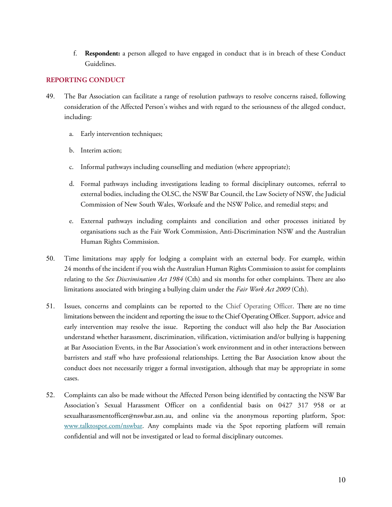f. **Respondent:** a person alleged to have engaged in conduct that is in breach of these Conduct Guidelines.

## **REPORTING CONDUCT**

- 49. The Bar Association can facilitate a range of resolution pathways to resolve concerns raised, following consideration of the Affected Person's wishes and with regard to the seriousness of the alleged conduct, including:
	- a. Early intervention techniques;
	- b. Interim action;
	- c. Informal pathways including counselling and mediation (where appropriate);
	- d. Formal pathways including investigations leading to formal disciplinary outcomes, referral to external bodies, including the OLSC, the NSW Bar Council, the Law Society of NSW, the Judicial Commission of New South Wales, Worksafe and the NSW Police, and remedial steps; and
	- e. External pathways including complaints and conciliation and other processes initiated by organisations such as the Fair Work Commission, Anti-Discrimination NSW and the Australian Human Rights Commission.
- 50. Time limitations may apply for lodging a complaint with an external body. For example, within 24 months of the incident if you wish the Australian Human Rights Commission to assist for complaints relating to the *Sex Discrimination Act 1984* (Cth) and six months for other complaints. There are also limitations associated with bringing a bullying claim under the *Fair Work Act 2009* (Cth).
- 51. Issues, concerns and complaints can be reported to the Chief Operating Officer. There are no time limitations between the incident and reporting the issue to the Chief Operating Officer. Support, advice and early intervention may resolve the issue. Reporting the conduct will also help the Bar Association understand whether harassment, discrimination, vilification, victimisation and/or bullying is happening at Bar Association Events, in the Bar Association's work environment and in other interactions between barristers and staff who have professional relationships. Letting the Bar Association know about the conduct does not necessarily trigger a formal investigation, although that may be appropriate in some cases.
- 52. Complaints can also be made without the Affected Person being identified by contacting the NSW Bar Association's Sexual Harassment Officer on a confidential basis on 0427 317 958 or at sexualharassmentofficer@nswbar.asn.au, and online via the anonymous reporting platform, Spot: [www.talktospot.com/nswbar.](http://www.talktospot.com/nswbar) Any complaints made via the Spot reporting platform will remain confidential and will not be investigated or lead to formal disciplinary outcomes.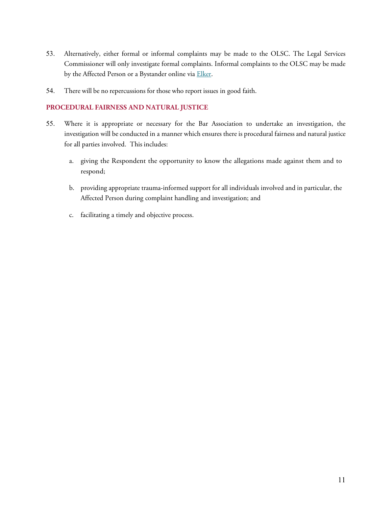- 53. Alternatively, either formal or informal complaints may be made to the OLSC. The Legal Services Commissioner will only investigate formal complaints. Informal complaints to the OLSC may be made by the Affected Person or a Bystander online via [Elker.](https://olsc.elker.com/report)
- 54. There will be no repercussions for those who report issues in good faith.

# **PROCEDURAL FAIRNESS AND NATURAL JUSTICE**

- 55. Where it is appropriate or necessary for the Bar Association to undertake an investigation, the investigation will be conducted in a manner which ensures there is procedural fairness and natural justice for all parties involved. This includes:
	- a. giving the Respondent the opportunity to know the allegations made against them and to respond;
	- b. providing appropriate trauma-informed support for all individuals involved and in particular, the Affected Person during complaint handling and investigation; and
	- c. facilitating a timely and objective process.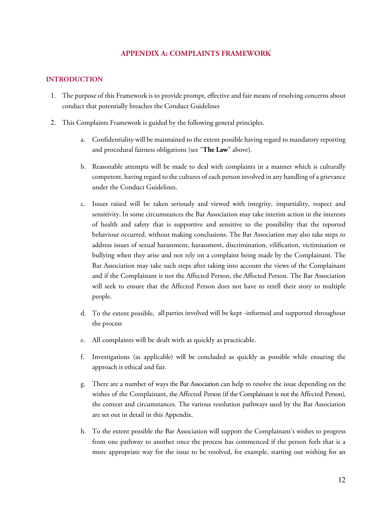## **APPENDIX A: COMPLAINTS FRAMEWORK**

#### **INTRODUCTION**

- 1. The purpose of this Framework is to provide prompt, effective and fair means of resolving concerns about conduct that potentially breaches the Conduct Guidelines
- 2. This Complaints Framework is guided by the following general principles.
	- a. Confidentiality will be maintained to the extent possible having regard to mandatory reporting and procedural fairness obligations (see "**The Law**" above).
	- b. Reasonable attempts will be made to deal with complaints in a manner which is culturally competent, having regard to the cultures of each person involved in any handling of a grievance under the Conduct Guidelines.
	- c. Issues raised will be taken seriously and viewed with integrity, impartiality, respect and sensitivity. In some circumstances the Bar Association may take interim action in the interests of health and safety that is supportive and sensitive to the possibility that the reported behaviour occurred, without making conclusions. The Bar Association may also take steps to address issues of sexual harassment, harassment, discrimination, vilification, victimisation or bullying when they arise and not rely on a complaint being made by the Complainant. The Bar Association may take such steps after taking into account the views of the Complainant and if the Complainant is not the Affected Person, the Affected Person. The Bar Association will seek to ensure that the Affected Person does not have to retell their story to multiple people.
	- d. To the extent possible, allparties involved will be kept -informed and supported throughout the process
	- e. All complaints will be dealt with as quickly as practicable.
	- f. Investigations (as applicable) will be concluded as quickly as possible while ensuring the approach is ethical and fair.
	- g. There are a number of ways the Bar Association can help to resolve the issue depending on the wishes of the Complainant, the Affected Person (if the Complainant is not the Affected Person), the context and circumstances. The various resolution pathways used by the Bar Association are set out in detail in this Appendix.
	- h. To the extent possible the Bar Association will support the Complainant's wishes to progress from one pathway to another once the process has commenced if the person feels that is a more appropriate way for the issue to be resolved, for example, starting out wishing for an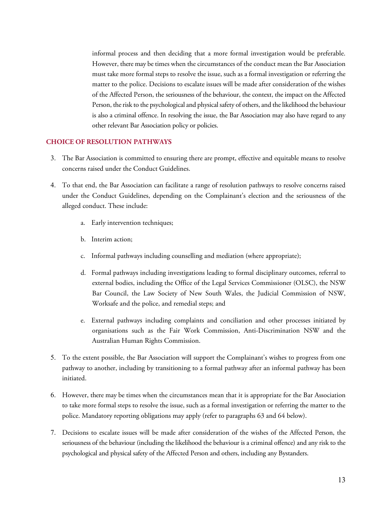informal process and then deciding that a more formal investigation would be preferable. However, there may be times when the circumstances of the conduct mean the Bar Association must take more formal steps to resolve the issue, such as a formal investigation or referring the matter to the police. Decisions to escalate issues will be made after consideration of the wishes of the Affected Person, the seriousness of the behaviour, the context, the impact on the Affected Person, the risk to the psychological and physical safety of others, and the likelihood the behaviour is also a criminal offence. In resolving the issue, the Bar Association may also have regard to any other relevant Bar Association policy or policies.

## **CHOICE OF RESOLUTION PATHWAYS**

- 3. The Bar Association is committed to ensuring there are prompt, effective and equitable means to resolve concerns raised under the Conduct Guidelines.
- 4. To that end, the Bar Association can facilitate a range of resolution pathways to resolve concerns raised under the Conduct Guidelines, depending on the Complainant's election and the seriousness of the alleged conduct. These include:
	- a. Early intervention techniques;
	- b. Interim action;
	- c. Informal pathways including counselling and mediation (where appropriate);
	- d. Formal pathways including investigations leading to formal disciplinary outcomes, referral to external bodies, including the Office of the Legal Services Commissioner (OLSC), the NSW Bar Council, the Law Society of New South Wales, the Judicial Commission of NSW, Worksafe and the police, and remedial steps; and
	- e. External pathways including complaints and conciliation and other processes initiated by organisations such as the Fair Work Commission, Anti-Discrimination NSW and the Australian Human Rights Commission.
- 5. To the extent possible, the Bar Association will support the Complainant's wishes to progress from one pathway to another, including by transitioning to a formal pathway after an informal pathway has been initiated.
- 6. However, there may be times when the circumstances mean that it is appropriate for the Bar Association to take more formal steps to resolve the issue, such as a formal investigation or referring the matter to the police. Mandatory reporting obligations may apply (refer to paragraphs 63 and 64 below).
- 7. Decisions to escalate issues will be made after consideration of the wishes of the Affected Person, the seriousness of the behaviour (including the likelihood the behaviour is a criminal offence) and any risk to the psychological and physical safety of the Affected Person and others, including any Bystanders.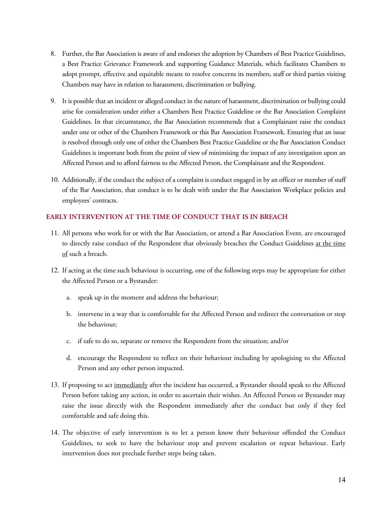- 8. Further, the Bar Association is aware of and endorses the adoption by Chambers of Best Practice Guidelines, a Best Practice Grievance Framework and supporting Guidance Materials, which facilitates Chambers to adopt prompt, effective and equitable means to resolve concerns its members, staff or third parties visiting Chambers may have in relation to harassment, discrimination or bullying.
- 9. It is possible that an incident or alleged conduct in the nature of harassment, discrimination or bullying could arise for consideration under either a Chambers Best Practice Guideline or the Bar Association Complaint Guidelines. In that circumstance, the Bar Association recommends that a Complainant raise the conduct under one or other of the Chambers Framework or this Bar Association Framework. Ensuring that an issue is resolved through only one of either the Chambers Best Practice Guideline or the Bar Association Conduct Guidelines is important both from the point of view of minimising the impact of any investigation upon an Affected Person and to afford fairness to the Affected Person, the Complainant and the Respondent.
- 10. Additionally, if the conduct the subject of a complaint is conduct engaged in by an officer or member of staff of the Bar Association, that conduct is to be dealt with under the Bar Association Workplace policies and employees' contracts.

# **EARLY INTERVENTION AT THE TIME OF CONDUCT THAT IS IN BREACH**

- 11. All persons who work for or with the Bar Association, or attend a Bar Association Event, are encouraged to directly raise conduct of the Respondent that obviously breaches the Conduct Guidelines at the time of such a breach.
- 12. If acting at the time such behaviour is occurring, one of the following steps may be appropriate for either the Affected Person or a Bystander:
	- a. speak up in the moment and address the behaviour;
	- b. intervene in a way that is comfortable for the Affected Person and redirect the conversation or stop the behaviour;
	- c. if safe to do so, separate or remove the Respondent from the situation; and/or
	- d. encourage the Respondent to reflect on their behaviour including by apologising to the Affected Person and any other person impacted.
- 13. If proposing to act immediately after the incident has occurred, a Bystander should speak to the Affected Person before taking any action, in order to ascertain their wishes. An Affected Person or Bystander may raise the issue directly with the Respondent immediately after the conduct but only if they feel comfortable and safe doing this.
- 14. The objective of early intervention is to let a person know their behaviour offended the Conduct Guidelines, to seek to have the behaviour stop and prevent escalation or repeat behaviour. Early intervention does not preclude further steps being taken.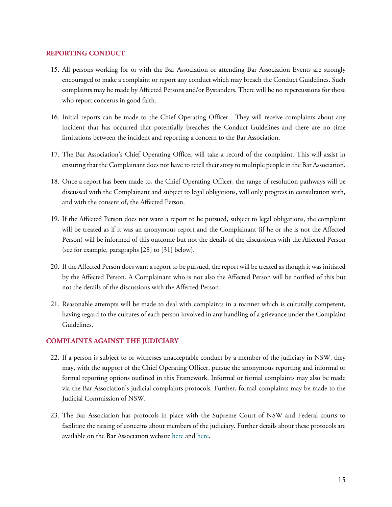## **REPORTING CONDUCT**

- 15. All persons working for or with the Bar Association or attending Bar Association Events are strongly encouraged to make a complaint or report any conduct which may breach the Conduct Guidelines. Such complaints may be made by Affected Persons and/or Bystanders. There will be no repercussions for those who report concerns in good faith.
- 16. Initial reports can be made to the Chief Operating Officer. They will receive complaints about any incident that has occurred that potentially breaches the Conduct Guidelines and there are no time limitations between the incident and reporting a concern to the Bar Association.
- 17. The Bar Association's Chief Operating Officer will take a record of the complaint. This will assist in ensuring that the Complainant does not have to retell their story to multiple people in the Bar Association.
- 18. Once a report has been made to, the Chief Operating Officer, the range of resolution pathways will be discussed with the Complainant and subject to legal obligations, will only progress in consultation with, and with the consent of, the Affected Person.
- 19. If the Affected Person does not want a report to be pursued, subject to legal obligations, the complaint will be treated as if it was an anonymous report and the Complainant (if he or she is not the Affected Person) will be informed of this outcome but not the details of the discussions with the Affected Person (see for example, paragraphs [28] to [31] below).
- 20. If the Affected Person does want a report to be pursued, the report will be treated as though it was initiated by the Affected Person. A Complainant who is not also the Affected Person will be notified of this but not the details of the discussions with the Affected Person.
- 21. Reasonable attempts will be made to deal with complaints in a manner which is culturally competent, having regard to the cultures of each person involved in any handling of a grievance under the Complaint Guidelines.

## **COMPLAINTS AGAINST THE JUDICIARY**

- 22. If a person is subject to or witnesses unacceptable conduct by a member of the judiciary in NSW, they may, with the support of the Chief Operating Officer, pursue the anonymous reporting and informal or formal reporting options outlined in this Framework. Informal or formal complaints may also be made via the Bar Association's judicial complaints protocols. Further, formal complaints may be made to the Judicial Commission of NSW.
- 23. The Bar Association has protocols in place with the Supreme Court of NSW and Federal courts to facilitate the raising of concerns about members of the judiciary. Further details about these protocols are available on the Bar Association website [here](https://nswbar.asn.au/uploads/pdf-documents/Complaints_of_Judicial_Conduct.pdf) and [here.](https://inbrief.nswbar.asn.au/posts/08b347d11316f1372f3414b4c42c8271/attachment/Letter%20to%20Members%20re%20Judicial%20Conduct%20including%20attachments.pdf)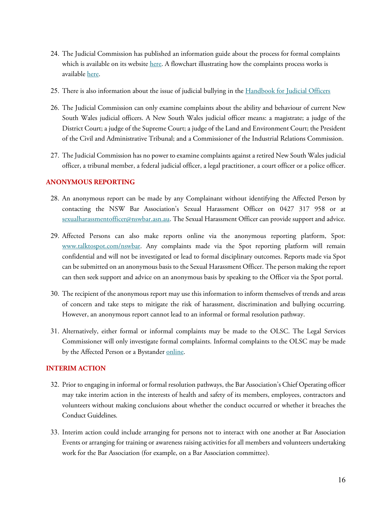- 24. The Judicial Commission has published an information guide about the process for formal complaints which is available on its website [here.](https://www.judcom.nsw.gov.au/complaints/) A flowchart illustrating how the complaints process works is available [here.](https://www.judcom.nsw.gov.au/wp-content/uploads/2014/07/how-the-complaints-process-works.pdf)
- 25. There is also information about the issue of judicial bullying in the Handbook for Judicial Officers
- 26. The Judicial Commission can only examine complaints about the ability and behaviour of current New South Wales judicial officers. A New South Wales judicial officer means: a magistrate; a judge of the District Court; a judge of the Supreme Court; a judge of the Land and Environment Court; the President of the Civil and Administrative Tribunal; and a Commissioner of the Industrial Relations Commission.
- 27. The Judicial Commission has no power to examine complaints against a retired New South Wales judicial officer, a tribunal member, a federal judicial officer, a legal practitioner, a court officer or a police officer.

## **ANONYMOUS REPORTING**

- 28. An anonymous report can be made by any Complainant without identifying the Affected Person by contacting the NSW Bar Association's Sexual Harassment Officer on 0427 317 958 or at [sexualharassmentofficer@nswbar.asn.au.](mailto:sexualharassmentofficer@nswbar.asn.au) The Sexual Harassment Officer can provide support and advice.
- 29. Affected Persons can also make reports online via the anonymous reporting platform, Spot: [www.talktospot.com/nswbar.](http://www.talktospot.com/nswbar) Any complaints made via the Spot reporting platform will remain confidential and will not be investigated or lead to formal disciplinary outcomes. Reports made via Spot can be submitted on an anonymous basis to the Sexual Harassment Officer. The person making the report can then seek support and advice on an anonymous basis by speaking to the Officer via the Spot portal.
- 30. The recipient of the anonymous report may use this information to inform themselves of trends and areas of concern and take steps to mitigate the risk of harassment, discrimination and bullying occurring. However, an anonymous report cannot lead to an informal or formal resolution pathway.
- 31. Alternatively, either formal or informal complaints may be made to the OLSC. The Legal Services Commissioner will only investigate formal complaints. Informal complaints to the OLSC may be made by the Affected Person or a Bystander [online.](https://www.olsc.nsw.gov.au/Pages/inappropriate-personal-conduct/informally-reporting-ipc.aspx)

## **INTERIM ACTION**

- 32. Prior to engaging in informal or formal resolution pathways, the Bar Association's Chief Operating officer may take interim action in the interests of health and safety of its members, employees, contractors and volunteers without making conclusions about whether the conduct occurred or whether it breaches the Conduct Guidelines.
- 33. Interim action could include arranging for persons not to interact with one another at Bar Association Events or arranging for training or awareness raising activities for all members and volunteers undertaking work for the Bar Association (for example, on a Bar Association committee).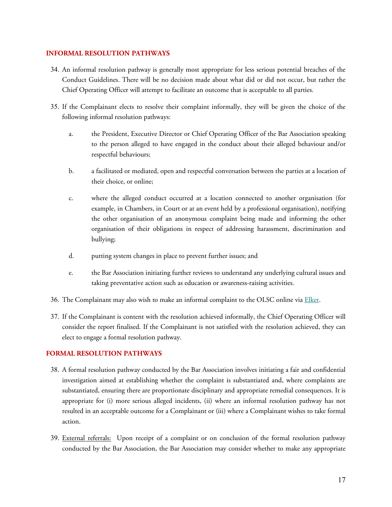## **INFORMAL RESOLUTION PATHWAYS**

- 34. An informal resolution pathway is generally most appropriate for less serious potential breaches of the Conduct Guidelines. There will be no decision made about what did or did not occur, but rather the Chief Operating Officer will attempt to facilitate an outcome that is acceptable to all parties.
- 35. If the Complainant elects to resolve their complaint informally, they will be given the choice of the following informal resolution pathways:
	- a. the President, Executive Director or Chief Operating Officer of the Bar Association speaking to the person alleged to have engaged in the conduct about their alleged behaviour and/or respectful behaviours;
	- b. a facilitated or mediated, open and respectful conversation between the parties at a location of their choice, or online;
	- c. where the alleged conduct occurred at a location connected to another organisation (for example, in Chambers, in Court or at an event held by a professional organisation), notifying the other organisation of an anonymous complaint being made and informing the other organisation of their obligations in respect of addressing harassment, discrimination and bullying;
	- d. putting system changes in place to prevent further issues; and
	- e. the Bar Association initiating further reviews to understand any underlying cultural issues and taking preventative action such as education or awareness-raising activities.
- 36. The Complainant may also wish to make an informal complaint to the OLSC online vi[a Elker.](https://olsc.elker.com/report)
- 37. If the Complainant is content with the resolution achieved informally, the Chief Operating Officer will consider the report finalised. If the Complainant is not satisfied with the resolution achieved, they can elect to engage a formal resolution pathway.

## **FORMAL RESOLUTION PATHWAYS**

- 38. A formal resolution pathway conducted by the Bar Association involves initiating a fair and confidential investigation aimed at establishing whether the complaint is substantiated and, where complaints are substantiated, ensuring there are proportionate disciplinary and appropriate remedial consequences. It is appropriate for (i) more serious alleged incidents, (ii) where an informal resolution pathway has not resulted in an acceptable outcome for a Complainant or (iii) where a Complainant wishes to take formal action.
- 39. External referrals: Upon receipt of a complaint or on conclusion of the formal resolution pathway conducted by the Bar Association, the Bar Association may consider whether to make any appropriate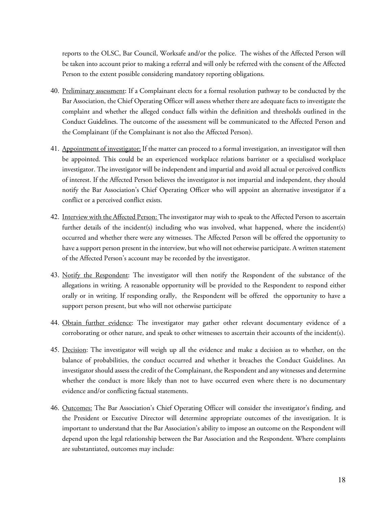reports to the OLSC, Bar Council, Worksafe and/or the police. The wishes of the Affected Person will be taken into account prior to making a referral and will only be referred with the consent of the Affected Person to the extent possible considering mandatory reporting obligations.

- 40. Preliminary assessment: If a Complainant elects for a formal resolution pathway to be conducted by the Bar Association, the Chief Operating Officer will assess whether there are adequate facts to investigate the complaint and whether the alleged conduct falls within the definition and thresholds outlined in the Conduct Guidelines. The outcome of the assessment will be communicated to the Affected Person and the Complainant (if the Complainant is not also the Affected Person).
- 41. Appointment of investigator: If the matter can proceed to a formal investigation, an investigator will then be appointed. This could be an experienced workplace relations barrister or a specialised workplace investigator. The investigator will be independent and impartial and avoid all actual or perceived conflicts of interest. If the Affected Person believes the investigator is not impartial and independent, they should notify the Bar Association's Chief Operating Officer who will appoint an alternative investigator if a conflict or a perceived conflict exists.
- 42. Interview with the Affected Person: The investigator may wish to speak to the Affected Person to ascertain further details of the incident(s) including who was involved, what happened, where the incident(s) occurred and whether there were any witnesses. The Affected Person will be offered the opportunity to have a support person present in the interview, but who will not otherwise participate. A written statement of the Affected Person's account may be recorded by the investigator.
- 43. Notify the Respondent: The investigator will then notify the Respondent of the substance of the allegations in writing. A reasonable opportunity will be provided to the Respondent to respond either orally or in writing. If responding orally, the Respondent will be offered the opportunity to have a support person present, but who will not otherwise participate
- 44. Obtain further evidence: The investigator may gather other relevant documentary evidence of a corroborating or other nature, and speak to other witnesses to ascertain their accounts of the incident(s).
- 45. Decision: The investigator will weigh up all the evidence and make a decision as to whether, on the balance of probabilities, the conduct occurred and whether it breaches the Conduct Guidelines. An investigator should assess the credit of the Complainant, the Respondent and any witnesses and determine whether the conduct is more likely than not to have occurred even where there is no documentary evidence and/or conflicting factual statements.
- 46. Outcomes: The Bar Association's Chief Operating Officer will consider the investigator's finding, and the President or Executive Director will determine appropriate outcomes of the investigation. It is important to understand that the Bar Association's ability to impose an outcome on the Respondent will depend upon the legal relationship between the Bar Association and the Respondent. Where complaints are substantiated, outcomes may include: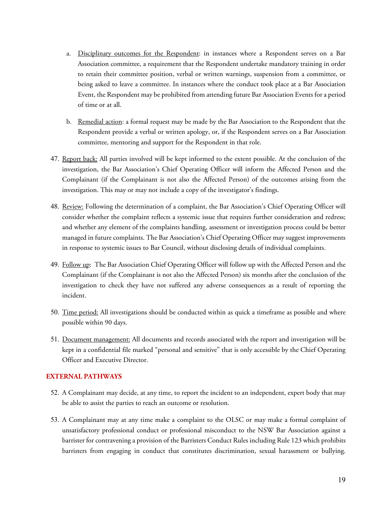- a. Disciplinary outcomes for the Respondent: in instances where a Respondent serves on a Bar Association committee, a requirement that the Respondent undertake mandatory training in order to retain their committee position, verbal or written warnings, suspension from a committee, or being asked to leave a committee. In instances where the conduct took place at a Bar Association Event, the Respondent may be prohibited from attending future Bar Association Events for a period of time or at all.
- b. Remedial action: a formal request may be made by the Bar Association to the Respondent that the Respondent provide a verbal or written apology, or, if the Respondent serves on a Bar Association committee, mentoring and support for the Respondent in that role.
- 47. Report back: All parties involved will be kept informed to the extent possible. At the conclusion of the investigation, the Bar Association's Chief Operating Officer will inform the Affected Person and the Complainant (if the Complainant is not also the Affected Person) of the outcomes arising from the investigation. This may or may not include a copy of the investigator's findings.
- 48. Review: Following the determination of a complaint, the Bar Association's Chief Operating Officer will consider whether the complaint reflects a systemic issue that requires further consideration and redress; and whether any element of the complaints handling, assessment or investigation process could be better managed in future complaints. The Bar Association's Chief Operating Officer may suggest improvements in response to systemic issues to Bar Council, without disclosing details of individual complaints.
- 49. Follow up: The Bar Association Chief Operating Officer will follow up with the Affected Person and the Complainant (if the Complainant is not also the Affected Person) six months after the conclusion of the investigation to check they have not suffered any adverse consequences as a result of reporting the incident.
- 50. Time period: All investigations should be conducted within as quick a timeframe as possible and where possible within 90 days.
- 51. Document management: All documents and records associated with the report and investigation will be kept in a confidential file marked "personal and sensitive" that is only accessible by the Chief Operating Officer and Executive Director.

## **EXTERNAL PATHWAYS**

- 52. A Complainant may decide, at any time, to report the incident to an independent, expert body that may be able to assist the parties to reach an outcome or resolution.
- 53. A Complainant may at any time make a complaint to the OLSC or may make a formal complaint of unsatisfactory professional conduct or professional misconduct to the NSW Bar Association against a barrister for contravening a provision of the Barristers Conduct Rules including Rule 123 which prohibits barristers from engaging in conduct that constitutes discrimination, sexual harassment or bullying.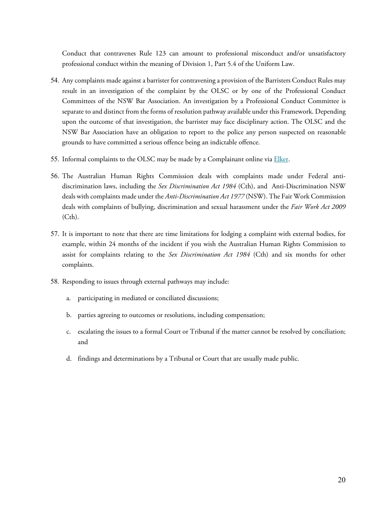Conduct that contravenes Rule 123 can amount to professional misconduct and/or unsatisfactory professional conduct within the meaning of Division 1, Part 5.4 of the Uniform Law.

- 54. Any complaints made against a barrister for contravening a provision of the Barristers Conduct Rules may result in an investigation of the complaint by the OLSC or by one of the Professional Conduct Committees of the NSW Bar Association. An investigation by a Professional Conduct Committee is separate to and distinct from the forms of resolution pathway available under this Framework. Depending upon the outcome of that investigation, the barrister may face disciplinary action. The OLSC and the NSW Bar Association have an obligation to report to the police any person suspected on reasonable grounds to have committed a serious offence being an indictable offence.
- 55. Informal complaints to the OLSC may be made by a Complainant online via *Elker*.
- 56. The Australian Human Rights Commission deals with complaints made under Federal antidiscrimination laws, including the *Sex Discrimination Act 1984* (Cth), and Anti-Discrimination NSW deals with complaints made under the *Anti-Discrimination Act 1977* (NSW). The Fair Work Commission deals with complaints of bullying, discrimination and sexual harassment under the *Fair Work Act 2009*  (Cth).
- 57. It is important to note that there are time limitations for lodging a complaint with external bodies, for example, within 24 months of the incident if you wish the Australian Human Rights Commission to assist for complaints relating to the *Sex Discrimination Act 1984* (Cth) and six months for other complaints.
- 58. Responding to issues through external pathways may include:
	- a. participating in mediated or conciliated discussions;
	- b. parties agreeing to outcomes or resolutions, including compensation;
	- c. escalating the issues to a formal Court or Tribunal if the matter cannot be resolved by conciliation; and
	- d. findings and determinations by a Tribunal or Court that are usually made public.